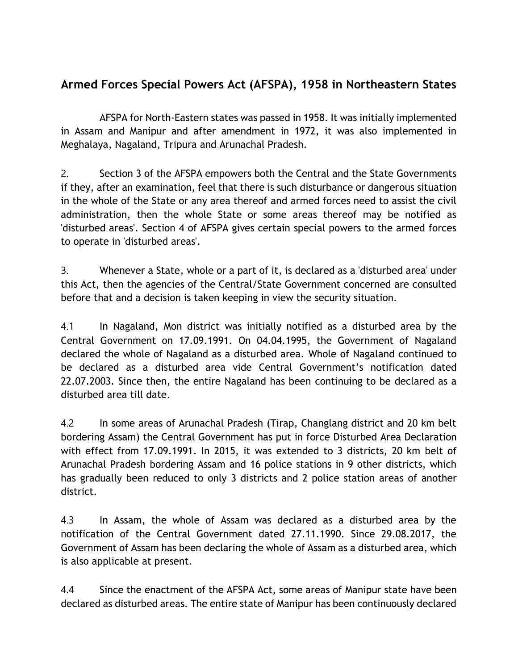## **Armed Forces Special Powers Act (AFSPA), 1958 in Northeastern States**

AFSPA for North-Eastern states was passed in 1958. It was initially implemented in Assam and Manipur and after amendment in 1972, it was also implemented in Meghalaya, Nagaland, Tripura and Arunachal Pradesh.

2. Section 3 of the AFSPA empowers both the Central and the State Governments if they, after an examination, feel that there is such disturbance or dangerous situation in the whole of the State or any area thereof and armed forces need to assist the civil administration, then the whole State or some areas thereof may be notified as 'disturbed areas'. Section 4 of AFSPA gives certain special powers to the armed forces to operate in 'disturbed areas'.

3. Whenever a State, whole or a part of it, is declared as a 'disturbed area' under this Act, then the agencies of the Central/State Government concerned are consulted before that and a decision is taken keeping in view the security situation.

4.1 In Nagaland, Mon district was initially notified as a disturbed area by the Central Government on 17.09.1991. On 04.04.1995, the Government of Nagaland declared the whole of Nagaland as a disturbed area. Whole of Nagaland continued to be declared as a disturbed area vide Central Government's notification dated 22.07.2003. Since then, the entire Nagaland has been continuing to be declared as a disturbed area till date.

4.2 In some areas of Arunachal Pradesh (Tirap, Changlang district and 20 km belt bordering Assam) the Central Government has put in force Disturbed Area Declaration with effect from 17.09.1991. In 2015, it was extended to 3 districts, 20 km belt of Arunachal Pradesh bordering Assam and 16 police stations in 9 other districts, which has gradually been reduced to only 3 districts and 2 police station areas of another district.

4.3 In Assam, the whole of Assam was declared as a disturbed area by the notification of the Central Government dated 27.11.1990. Since 29.08.2017, the Government of Assam has been declaring the whole of Assam as a disturbed area, which is also applicable at present.

4.4 Since the enactment of the AFSPA Act, some areas of Manipur state have been declared as disturbed areas. The entire state of Manipur has been continuously declared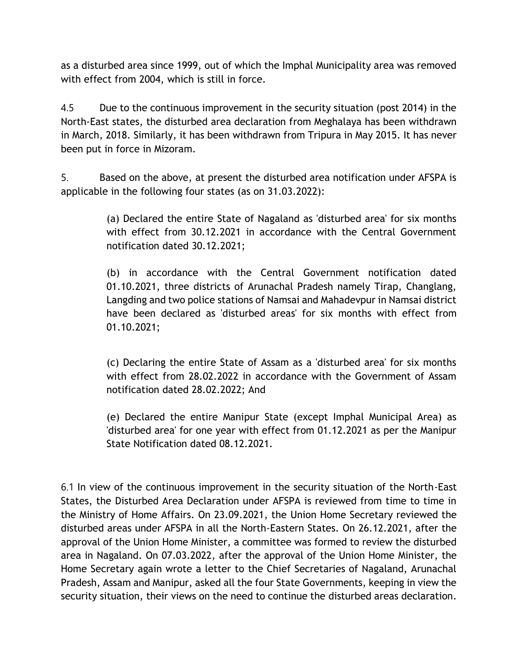as a disturbed area since 1999, out of which the Imphal Municipality area was removed with effect from 2004, which is still in force.

4.5 Due to the continuous improvement in the security situation (post 2014) in the North-East states, the disturbed area declaration from Meghalaya has been withdrawn in March, 2018. Similarly, it has been withdrawn from Tripura in May 2015. It has never been put in force in Mizoram.

5. Based on the above, at present the disturbed area notification under AFSPA is applicable in the following four states (as on 31.03.2022):

> (a) Declared the entire State of Nagaland as 'disturbed area' for six months with effect from 30.12.2021 in accordance with the Central Government notification dated 30.12.2021;

> (b) in accordance with the Central Government notification dated 01.10.2021, three districts of Arunachal Pradesh namely Tirap, Changlang, Langding and two police stations of Namsai and Mahadevpur in Namsai district have been declared as 'disturbed areas' for six months with effect from 01.10.2021;

> (c) Declaring the entire State of Assam as a 'disturbed area' for six months with effect from 28.02.2022 in accordance with the Government of Assam notification dated 28.02.2022; And

> (e) Declared the entire Manipur State (except Imphal Municipal Area) as 'disturbed area' for one year with effect from 01.12.2021 as per the Manipur State Notification dated 08.12.2021.

6.1 In view of the continuous improvement in the security situation of the North-East States, the Disturbed Area Declaration under AFSPA is reviewed from time to time in the Ministry of Home Affairs. On 23.09.2021, the Union Home Secretary reviewed the disturbed areas under AFSPA in all the North-Eastern States. On 26.12.2021, after the approval of the Union Home Minister, a committee was formed to review the disturbed area in Nagaland. On 07.03.2022, after the approval of the Union Home Minister, the Home Secretary again wrote a letter to the Chief Secretaries of Nagaland, Arunachal Pradesh, Assam and Manipur, asked all the four State Governments, keeping in view the security situation, their views on the need to continue the disturbed areas declaration.